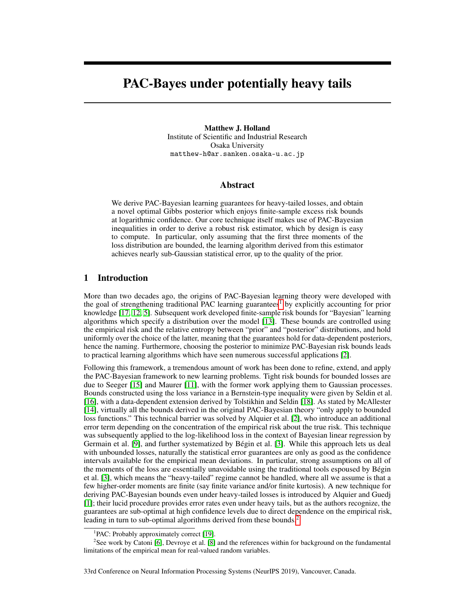# PAC-Bayes under potentially heavy tails

Matthew J. Holland Institute of Scientific and Industrial Research Osaka University matthew-h@ar.sanken.osaka-u.ac.jp

### Abstract

We derive PAC-Bayesian learning guarantees for heavy-tailed losses, and obtain a novel optimal Gibbs posterior which enjoys finite-sample excess risk bounds at logarithmic confidence. Our core technique itself makes use of PAC-Bayesian inequalities in order to derive a robust risk estimator, which by design is easy to compute. In particular, only assuming that the first three moments of the loss distribution are bounded, the learning algorithm derived from this estimator achieves nearly sub-Gaussian statistical error, up to the quality of the prior.

### 1 Introduction

More than two decades ago, the origins of PAC-Bayesian learning theory were developed with the goal of strengthening traditional PAC learning guarantees<sup>1</sup> by explicitly accounting for prior knowledge [17, 12, 5]. Subsequent work developed finite-sample risk bounds for "Bayesian" learning algorithms which specify a distribution over the model [13]. These bounds are controlled using the empirical risk and the relative entropy between "prior" and "posterior" distributions, and hold uniformly over the choice of the latter, meaning that the guarantees hold for data-dependent posteriors, hence the naming. Furthermore, choosing the posterior to minimize PAC-Bayesian risk bounds leads to practical learning algorithms which have seen numerous successful applications [2].

Following this framework, a tremendous amount of work has been done to refine, extend, and apply the PAC-Bayesian framework to new learning problems. Tight risk bounds for bounded losses are due to Seeger [15] and Maurer [11], with the former work applying them to Gaussian processes. Bounds constructed using the loss variance in a Bernstein-type inequality were given by Seldin et al. [16], with a data-dependent extension derived by Tolstikhin and Seldin [18]. As stated by McAllester [14], virtually all the bounds derived in the original PAC-Bayesian theory "only apply to bounded loss functions." This technical barrier was solved by Alquier et al. [2], who introduce an additional error term depending on the concentration of the empirical risk about the true risk. This technique was subsequently applied to the log-likelihood loss in the context of Bayesian linear regression by Germain et al. [9], and further systematized by Bégin et al. [3]. While this approach lets us deal with unbounded losses, naturally the statistical error guarantees are only as good as the confidence intervals available for the empirical mean deviations. In particular, strong assumptions on all of the moments of the loss are essentially unavoidable using the traditional tools espoused by Bégin et al. [3], which means the "heavy-tailed" regime cannot be handled, where all we assume is that a few higher-order moments are finite (say finite variance and/or finite kurtosis). A new technique for deriving PAC-Bayesian bounds even under heavy-tailed losses is introduced by Alquier and Guedj [1]; their lucid procedure provides error rates even under heavy tails, but as the authors recognize, the guarantees are sub-optimal at high confidence levels due to direct dependence on the empirical risk, leading in turn to sub-optimal algorithms derived from these bounds.<sup>2</sup>

<sup>&</sup>lt;sup>1</sup>PAC: Probably approximately correct [19].

<sup>&</sup>lt;sup>2</sup>See work by Catoni [6], Devroye et al. [8] and the references within for background on the fundamental limitations of the empirical mean for real-valued random variables.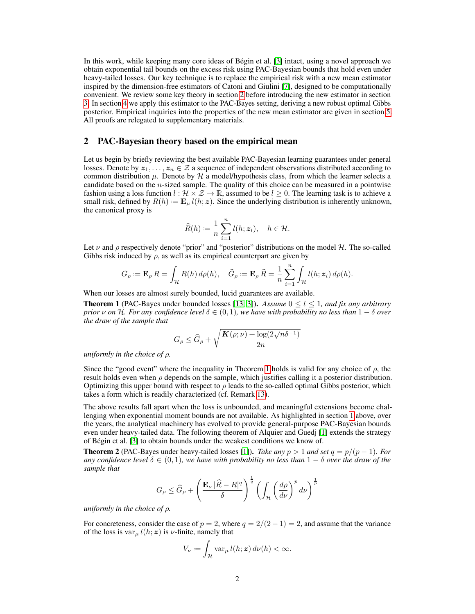In this work, while keeping many core ideas of Bégin et al. [3] intact, using a novel approach we obtain exponential tail bounds on the excess risk using PAC-Bayesian bounds that hold even under heavy-tailed losses. Our key technique is to replace the empirical risk with a new mean estimator inspired by the dimension-free estimators of Catoni and Giulini [7], designed to be computationally convenient. We review some key theory in section 2 before introducing the new estimator in section 3. In section 4 we apply this estimator to the PAC-Bayes setting, deriving a new robust optimal Gibbs posterior. Empirical inquiries into the properties of the new mean estimator are given in section 5. All proofs are relegated to supplementary materials.

## 2 PAC-Bayesian theory based on the empirical mean

Let us begin by briefly reviewing the best available PAC-Bayesian learning guarantees under general losses. Denote by  $z_1, \ldots, z_n \in \mathcal{Z}$  a sequence of independent observations distributed according to common distribution  $\mu$ . Denote by  $\mathcal{H}$  a model/hypothesis class, from which the learner selects a candidate based on the n-sized sample. The quality of this choice can be measured in a pointwise fashion using a loss function  $l : \mathcal{H} \times \mathcal{Z} \to \mathbb{R}$ , assumed to be  $l \geq 0$ . The learning task is to achieve a small risk, defined by  $R(h) = \mathbf{E}_{\mu} l(h; \mathbf{z})$ . Since the underlying distribution is inherently unknown, the canonical proxy is

$$
\widehat{R}(h) := \frac{1}{n} \sum_{i=1}^{n} l(h; \mathbf{z}_i), \quad h \in \mathcal{H}.
$$

Let  $\nu$  and  $\rho$  respectively denote "prior" and "posterior" distributions on the model H. The so-called Gibbs risk induced by  $\rho$ , as well as its empirical counterpart are given by

$$
G_{\rho} := \mathbf{E}_{\rho} R = \int_{\mathcal{H}} R(h) d\rho(h), \quad \widehat{G}_{\rho} := \mathbf{E}_{\rho} \widehat{R} = \frac{1}{n} \sum_{i=1}^{n} \int_{\mathcal{H}} l(h; \mathbf{z}_{i}) d\rho(h).
$$

When our losses are almost surely bounded, lucid guarantees are available.

**Theorem 1** (PAC-Bayes under bounded losses [13, 3]). Assume  $0 \le l \le 1$ , and fix any arbitrary *prior*  $\nu$  *on*  $\mathcal{H}$ *. For any confidence level*  $\delta \in (0, 1)$ *, we have with probability no less than*  $1 - \delta$  *over the draw of the sample that*

$$
G_{\rho} \leq \widehat{G}_{\rho} + \sqrt{\frac{\mathbf{K}(\rho;\nu) + \log(2\sqrt{n}\delta^{-1})}{2n}}
$$

*uniformly in the choice of* ρ*.*

Since the "good event" where the inequality in Theorem 1 holds is valid for any choice of  $\rho$ , the result holds even when  $\rho$  depends on the sample, which justifies calling it a posterior distribution. Optimizing this upper bound with respect to  $\rho$  leads to the so-called optimal Gibbs posterior, which takes a form which is readily characterized (cf. Remark 13).

The above results fall apart when the loss is unbounded, and meaningful extensions become challenging when exponential moment bounds are not available. As highlighted in section 1 above, over the years, the analytical machinery has evolved to provide general-purpose PAC-Bayesian bounds even under heavy-tailed data. The following theorem of Alquier and Guedj [1] extends the strategy of Bégin et al. [3] to obtain bounds under the weakest conditions we know of.

**Theorem 2** (PAC-Bayes under heavy-tailed losses [1]). *Take any*  $p > 1$  *and set*  $q = p/(p - 1)$ *. For any confidence level*  $\delta \in (0,1)$ *, we have with probability no less than*  $1-\delta$  *over the draw of the sample that*

$$
G_{\rho} \le \widehat{G}_{\rho} + \left(\frac{\mathbf{E}_{\nu} \left|\widehat{R} - R\right|^{q}}{\delta}\right)^{\frac{1}{q}} \left(\int_{\mathcal{H}} \left(\frac{d\rho}{d\nu}\right)^{p} d\nu\right)^{\frac{1}{p}}
$$

*uniformly in the choice of* ρ*.*

For concreteness, consider the case of  $p = 2$ , where  $q = 2/(2 - 1) = 2$ , and assume that the variance of the loss is  $var_{\mu} l(h; z)$  is  $\nu$ -finite, namely that

$$
V_{\nu} := \int_{\mathcal{H}} \text{var}_{\mu} \, l(h; \mathbf{z}) \, d\nu(h) < \infty.
$$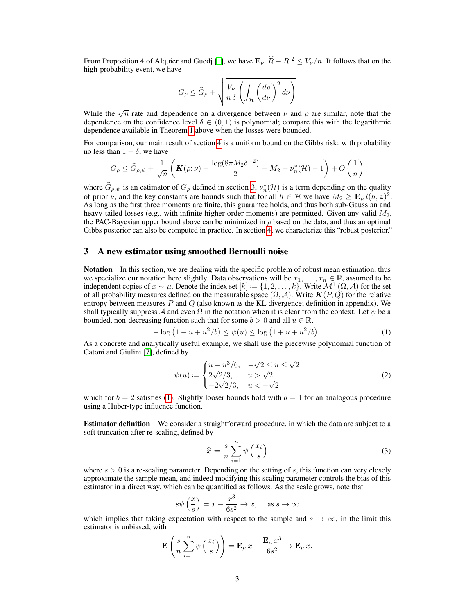From Proposition 4 of Alquier and Guedj [1], we have  $\mathbf{E}_{\nu}|\hat{R}-R|^2 \leq V_{\nu}/n$ . It follows that on the high-probability event, we have

$$
G_{\rho} \le \widehat{G}_{\rho} + \sqrt{\frac{V_{\nu}}{n \delta} \left( \int_{\mathcal{H}} \left( \frac{d\rho}{d\nu} \right)^2 d\nu \right)}
$$

While the  $\sqrt{n}$  rate and dependence on a divergence between  $\nu$  and  $\rho$  are similar, note that the dependence on the confidence level  $\delta \in (0,1)$  is polynomial; compare this with the logarithmic dependence available in Theorem 1 above when the losses were bounded.

For comparison, our main result of section 4 is a uniform bound on the Gibbs risk: with probability no less than  $1 - \delta$ , we have

$$
G_{\rho}\leq \widehat{G}_{\rho,\psi}+\frac{1}{\sqrt{n}}\left(\boldsymbol{K}(\rho;\nu)+\frac{\log(8\pi M_2\delta^{-2})}{2}+M_2+\nu_n^*(\mathcal{H})-1\right)+O\left(\frac{1}{n}\right)
$$

where  $\widehat{G}_{\rho,\psi}$  is an estimator of  $G_{\rho}$  defined in section 3,  $\nu_n^*(\mathcal{H})$  is a term depending on the quality of prior  $\nu$ , and the key constants are bounds such that for all  $h \in \mathcal{H}$  we have  $M_2 \geq \mathbf{E}_{\mu} l(h; \mathbf{z})^2$ . As long as the first three moments are finite, this guarantee holds, and thus both sub-Gaussian and heavy-tailed losses (e.g., with infinite higher-order moments) are permitted. Given any valid  $M_2$ , the PAC-Bayesian upper bound above can be minimized in  $\rho$  based on the data, and thus an optimal Gibbs posterior can also be computed in practice. In section 4, we characterize this "robust posterior."

## 3 A new estimator using smoothed Bernoulli noise

**Notation** In this section, we are dealing with the specific problem of robust mean estimation, thus we specialize our notation here slightly. Data observations will be  $x_1, \ldots, x_n \in \mathbb{R}$ , assumed to be independent copies of  $x \sim \mu$ . Denote the index set  $[k] := \{1, 2, \ldots, k\}$ . Write  $\mathcal{M}_+^1(\Omega, \mathcal{A})$  for the set of all probability measures defined on the measurable space  $(\Omega, \mathcal{A})$ . Write  $\mathbf{K}(P, Q)$  for the relative entropy between measures  $P$  and  $Q$  (also known as the KL divergence; definition in appendix). We shall typically suppress A and even  $\Omega$  in the notation when it is clear from the context. Let  $\psi$  be a bounded, non-decreasing function such that for some  $b > 0$  and all  $u \in \mathbb{R}$ ,

$$
-\log(1 - u + u^2/b) \le \psi(u) \le \log(1 + u + u^2/b). \tag{1}
$$

As a concrete and analytically useful example, we shall use the piecewise polynomial function of Catoni and Giulini [7], defined by

$$
\psi(u) := \begin{cases} u - u^3/6, & -\sqrt{2} \le u \le \sqrt{2} \\ 2\sqrt{2}/3, & u > \sqrt{2} \\ -2\sqrt{2}/3, & u < -\sqrt{2} \end{cases}
$$
(2)

which for  $b = 2$  satisfies (1). Slightly looser bounds hold with  $b = 1$  for an analogous procedure using a Huber-type influence function.

**Estimator definition** We consider a straightforward procedure, in which the data are subject to a soft truncation after re-scaling, defined by

$$
\widehat{x} := \frac{s}{n} \sum_{i=1}^{n} \psi\left(\frac{x_i}{s}\right)
$$
\n(3)

where  $s > 0$  is a re-scaling parameter. Depending on the setting of s, this function can very closely approximate the sample mean, and indeed modifying this scaling parameter controls the bias of this estimator in a direct way, which can be quantified as follows. As the scale grows, note that

$$
s\psi\left(\frac{x}{s}\right) = x - \frac{x^3}{6s^2} \to x, \quad \text{as } s \to \infty
$$

which implies that taking expectation with respect to the sample and  $s \to \infty$ , in the limit this estimator is unbiased, with

$$
\mathbf{E}\left(\frac{s}{n}\sum_{i=1}^n\psi\left(\frac{x_i}{s}\right)\right) = \mathbf{E}_{\mu}x - \frac{\mathbf{E}_{\mu}x^3}{6s^2} \to \mathbf{E}_{\mu}x.
$$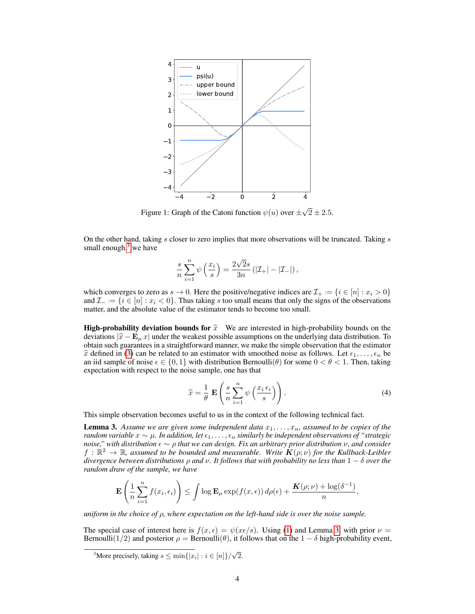

Figure 1: Graph of the Catoni function  $\psi(u)$  over  $\pm$  $2 \pm 2.5.$ 

On the other hand, taking  $s$  closer to zero implies that more observations will be truncated. Taking  $s$ small enough, $3$  we have

$$
\frac{s}{n}\sum_{i=1}^n\psi\left(\frac{x_i}{s}\right)=\frac{2\sqrt{2}s}{3n}\left(|\mathcal{I}_+|-|\mathcal{I}_-|\right),
$$

which converges to zero as  $s \to 0$ . Here the positive/negative indices are  $\mathcal{I}_+ := \{i \in [n] : x_i > 0\}$ and  $\mathcal{I}_- := \{i \in [n] : x_i < 0\}$ . Thus taking s too small means that only the signs of the observations matter, and the absolute value of the estimator tends to become too small.

**High-probability deviation bounds for**  $\hat{x}$  We are interested in high-probability bounds on the deviations  $|\hat{x} - \mathbf{E}_{\mu} x|$  under the weakest possible assumptions on the underlying data distribution. To obtain such guarantees in a straightforward manner, we make the simple observation that the estimator  $\hat{x}$  defined in (3) can be related to an estimator with smoothed noise as follows. Let  $\epsilon_1, \ldots, \epsilon_n$  be an iid sample of noise  $\epsilon \in \{0, 1\}$  with distribution Bernoulli $(\theta)$  for some  $0 < \theta < 1$ . Then, taking expectation with respect to the noise sample, one has that

$$
\widehat{x} = \frac{1}{\theta} \mathbf{E} \left( \frac{s}{n} \sum_{i=1}^{n} \psi \left( \frac{x_i \epsilon_i}{s} \right) \right). \tag{4}
$$

This simple observation becomes useful to us in the context of the following technical fact.

**Lemma 3.** Assume we are given some independent data  $x_1, \ldots, x_n$ , assumed to be copies of the *random variable*  $x \sim \mu$ *. In addition, let*  $\epsilon_1, \ldots, \epsilon_n$  *similarly be independent observations of "strategic noise," with distribution* ∼ ρ *that we can design. Fix an arbitrary prior distribution* ν*, and consider*  $f: \mathbb{R}^2 \to \mathbb{R}$ , assumed to be bounded and measurable. Write  $K(\rho;\nu)$  for the Kullback-Leibler *divergence between distributions* ρ *and* ν*. It follows that with probability no less than* 1 − δ *over the random draw of the sample, we have*

$$
\mathbf{E}\left(\frac{1}{n}\sum_{i=1}^n f(x_i,\epsilon_i)\right) \leq \int \log \mathbf{E}_{\mu} \exp(f(x,\epsilon)) d\rho(\epsilon) + \frac{\mathbf{K}(\rho;\nu) + \log(\delta^{-1})}{n},
$$

*uniform in the choice of* ρ*, where expectation on the left-hand side is over the noise sample.*

The special case of interest here is  $f(x, \epsilon) = \psi(x\epsilon/s)$ . Using (1) and Lemma 3, with prior  $\nu =$ Bernoulli(1/2) and posterior  $\rho = \text{Bernoulli}(\theta)$ , it follows that on the  $1 - \delta$  high-probability event,

<sup>&</sup>lt;sup>3</sup>More precisely, taking  $s \le \min\{|x_i| : i \in [n]\}/\sqrt{2}$ .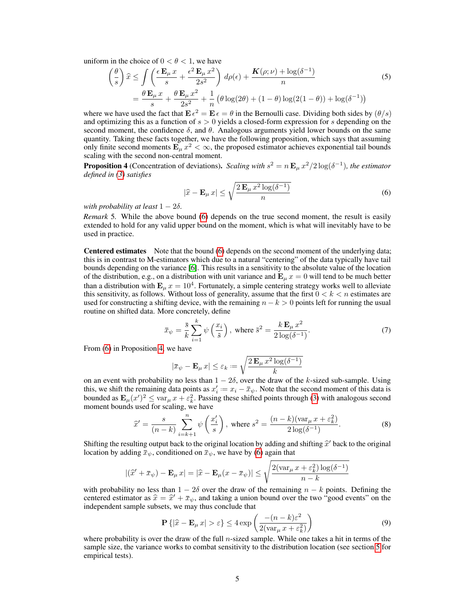uniform in the choice of  $0 < \theta < 1$ , we have

$$
\left(\frac{\theta}{s}\right)\hat{x} \le \int \left(\frac{\epsilon \mathbf{E}_{\mu} x}{s} + \frac{\epsilon^2 \mathbf{E}_{\mu} x^2}{2s^2}\right) d\rho(\epsilon) + \frac{\mathbf{K}(\rho; \nu) + \log(\delta^{-1})}{n} \n= \frac{\theta \mathbf{E}_{\mu} x}{s} + \frac{\theta \mathbf{E}_{\mu} x^2}{2s^2} + \frac{1}{n} \left(\theta \log(2\theta) + (1 - \theta) \log(2(1 - \theta)) + \log(\delta^{-1})\right)
$$
\n(5)

where we have used the fact that  $\mathbf{E} \epsilon^2 = \mathbf{E} \epsilon = \theta$  in the Bernoulli case. Dividing both sides by  $(\theta/s)$ and optimizing this as a function of  $s > 0$  yields a closed-form expression for s depending on the second moment, the confidence  $\delta$ , and  $\theta$ . Analogous arguments yield lower bounds on the same quantity. Taking these facts together, we have the following proposition, which says that assuming only finite second moments  $\mathbf{E}_{\mu} x^2 < \infty$ , the proposed estimator achieves exponential tail bounds scaling with the second non-central moment.

**Proposition 4** (Concentration of deviations). *Scaling with*  $s^2 = n \mathbf{E}_{\mu} x^2/2 \log(\delta^{-1})$ , the estimator *defined in (3) satisfies*

$$
|\hat{x} - \mathbf{E}_{\mu} x| \le \sqrt{\frac{2 \mathbf{E}_{\mu} x^2 \log(\delta^{-1})}{n}}
$$
 (6)

*with probability at least*  $1 - 2\delta$ .

*Remark* 5*.* While the above bound (6) depends on the true second moment, the result is easily extended to hold for any valid upper bound on the moment, which is what will inevitably have to be used in practice.

Centered estimates Note that the bound (6) depends on the second moment of the underlying data; this is in contrast to M-estimators which due to a natural "centering" of the data typically have tail bounds depending on the variance [6]. This results in a sensitivity to the absolute value of the location of the distribution, e.g., on a distribution with unit variance and  $\mathbf{E}_{\mu} x = 0$  will tend to be much better than a distribution with  $\mathbf{E}_{\mu} x = 10^4$ . Fortunately, a simple centering strategy works well to alleviate this sensitivity, as follows. Without loss of generality, assume that the first  $0 < k < n$  estimates are used for constructing a shifting device, with the remaining  $n - k > 0$  points left for running the usual routine on shifted data. More concretely, define

$$
\bar{x}_{\psi} = \frac{\bar{s}}{k} \sum_{i=1}^{k} \psi\left(\frac{x_i}{\bar{s}}\right), \text{ where } \bar{s}^2 = \frac{k \mathbf{E}_{\mu} x^2}{2 \log(\delta^{-1})}. \tag{7}
$$

From (6) in Proposition 4, we have

$$
|\bar{x}_{\psi} - \mathbf{E}_{\mu} x| \le \varepsilon_k := \sqrt{\frac{2 \mathbf{E}_{\mu} x^2 \log(\delta^{-1})}{k}}
$$

on an event with probability no less than  $1 - 2\delta$ , over the draw of the k-sized sub-sample. Using this, we shift the remaining data points as  $x'_i := x_i - \bar{x}_{\psi}$ . Note that the second moment of this data is bounded as  $\mathbf{E}_{\mu}(x')^2 \leq \text{var}_{\mu} x + \varepsilon_k^2$ . Passing these shifted points through (3) with analogous second moment bounds used for scaling, we have

$$
\widehat{x}' = \frac{s}{(n-k)} \sum_{i=k+1}^{n} \psi\left(\frac{x'_i}{s}\right), \text{ where } s^2 = \frac{(n-k)(\text{var}_{\mu} x + \varepsilon_k^2)}{2\log(\delta^{-1})}.
$$
 (8)

Shifting the resulting output back to the original location by adding and shifting  $\hat{x}$  back to the original location by adding  $\bar{x}$  conditioned on  $\bar{x}$  we have by (6) again that location by adding  $\bar{x}_\psi$ , conditioned on  $\bar{x}_\psi$ , we have by (6) again that

$$
|(\widehat{x}' + \bar{x}_{\psi}) - \mathbf{E}_{\mu} x| = |\widehat{x} - \mathbf{E}_{\mu} (x - \bar{x}_{\psi})| \le \sqrt{\frac{2(\operatorname{var}_{\mu} x + \varepsilon_{k}^{2}) \log(\delta^{-1})}{n - k}}
$$

with probability no less than  $1 - 2\delta$  over the draw of the remaining  $n - k$  points. Defining the centered estimator as  $\hat{x} = \hat{x}' + \bar{x}_{\psi}$ , and taking a union bound over the two "good events" on the independent sample subsets we may thus conclude that independent sample subsets, we may thus conclude that

$$
\mathbf{P}\left\{|\widehat{x} - \mathbf{E}_{\mu} x| > \varepsilon\right\} \le 4 \exp\left(\frac{-(n-k)\varepsilon^2}{2(\text{var}_{\mu} x + \varepsilon_k^2)}\right) \tag{9}
$$

where probability is over the draw of the full  $n$ -sized sample. While one takes a hit in terms of the sample size, the variance works to combat sensitivity to the distribution location (see section 5 for empirical tests).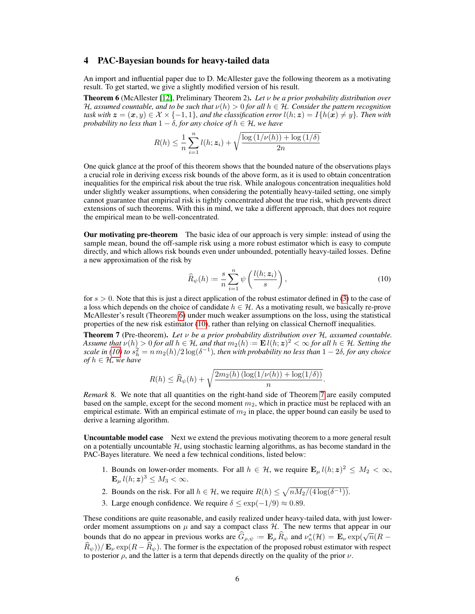#### 4 PAC-Bayesian bounds for heavy-tailed data

An import and influential paper due to D. McAllester gave the following theorem as a motivating result. To get started, we give a slightly modified version of his result.

Theorem 6 (McAllester [12], Preliminary Theorem 2). *Let* ν *be a prior probability distribution over* H<sub>r</sub>, assumed countable, and to be such that  $\nu(h) > 0$  for all  $h \in \mathcal{H}$ . Consider the pattern recognition *task with*  $z = (x, y) \in \mathcal{X} \times \{-1, 1\}$ *, and the classification error*  $l(h; z) = I\{h(x) \neq y\}$ *. Then with probability no less than*  $1 - \delta$ *, for any choice of*  $h \in H$ *, we have* 

$$
R(h) \leq \frac{1}{n} \sum_{i=1}^{n} l(h; \mathbf{z}_i) + \sqrt{\frac{\log\left(1/\nu(h)\right) + \log\left(1/\delta\right)}{2n}}
$$

One quick glance at the proof of this theorem shows that the bounded nature of the observations plays a crucial role in deriving excess risk bounds of the above form, as it is used to obtain concentration inequalities for the empirical risk about the true risk. While analogous concentration inequalities hold under slightly weaker assumptions, when considering the potentially heavy-tailed setting, one simply cannot guarantee that empirical risk is tightly concentrated about the true risk, which prevents direct extensions of such theorems. With this in mind, we take a different approach, that does not require the empirical mean to be well-concentrated.

Our motivating pre-theorem The basic idea of our approach is very simple: instead of using the sample mean, bound the off-sample risk using a more robust estimator which is easy to compute directly, and which allows risk bounds even under unbounded, potentially heavy-tailed losses. Define a new approximation of the risk by

$$
\widehat{R}_{\psi}(h) := \frac{s}{n} \sum_{i=1}^{n} \psi\left(\frac{l(h; z_i)}{s}\right),\tag{10}
$$

.

for  $s > 0$ . Note that this is just a direct application of the robust estimator defined in (3) to the case of a loss which depends on the choice of candidate  $h \in \mathcal{H}$ . As a motivating result, we basically re-prove McAllester's result (Theorem 6) under much weaker assumptions on the loss, using the statistical properties of the new risk estimator (10), rather than relying on classical Chernoff inequalities.

Theorem 7 (Pre-theorem). *Let* ν *be a prior probability distribution over* H*, assumed countable. Assume that*  $\nu(h) > 0$  *for all*  $h \in H$ *, and that*  $m_2(h) :=$   $\mathbf{E} l(h; z)^2 < \infty$  *for all*  $h \in H$ *. Setting the scale in (10)* to  $s_h^2 = n \, m_2(h)/2 \log(\delta^{-1})$ , then with probability no less than  $1 - 2\delta$ , for any choice *of*  $h \in H$ *, we have* 

$$
R(h) \leq \widehat{R}_{\psi}(h) + \sqrt{\frac{2m_2(h)\left(\log(1/\nu(h)) + \log(1/\delta)\right)}{n}}
$$

*Remark* 8*.* We note that all quantities on the right-hand side of Theorem 7 are easily computed based on the sample, except for the second moment  $m<sub>2</sub>$ , which in practice must be replaced with an empirical estimate. With an empirical estimate of  $m<sub>2</sub>$  in place, the upper bound can easily be used to derive a learning algorithm.

Uncountable model case Next we extend the previous motivating theorem to a more general result on a potentially uncountable  $H$ , using stochastic learning algorithms, as has become standard in the PAC-Bayes literature. We need a few technical conditions, listed below:

- 1. Bounds on lower-order moments. For all  $h \in \mathcal{H}$ , we require  $\mathbf{E}_{\mu} l(h; z)^2 \leq M_2 < \infty$ ,  $\mathbf{E}_{\mu} l(h; z)^3 \leq M_3 < \infty.$
- 2. Bounds on the risk. For all  $h \in \mathcal{H}$ , we require  $R(h) \leq \sqrt{n M_2/(4 \log(\delta^{-1}))}$ .
- 3. Large enough confidence. We require  $\delta \leq \exp(-1/9) \approx 0.89$ .

These conditions are quite reasonable, and easily realized under heavy-tailed data, with just lowerorder moment assumptions on  $\mu$  and say a compact class  $\mathcal{H}$ . The new terms that appear in our bounds that do no appear in previous works are  $\hat{G}_{\rho,\psi} := \mathbf{E}_{\rho} \hat{R}_{\psi}$  and  $\nu_n^*(\mathcal{H}) = \mathbf{E}_{\nu} \exp(\sqrt{n}(R - \hat{S}_{\nu,\psi}))$  $(\widehat{R}_{\psi})/E_{\nu}$  exp $(R - \widehat{R}_{\psi})$ . The former is the expectation of the proposed robust estimator with respect to posterior  $\rho$ , and the latter is a term that depends directly on the quality of the prior  $\nu$ .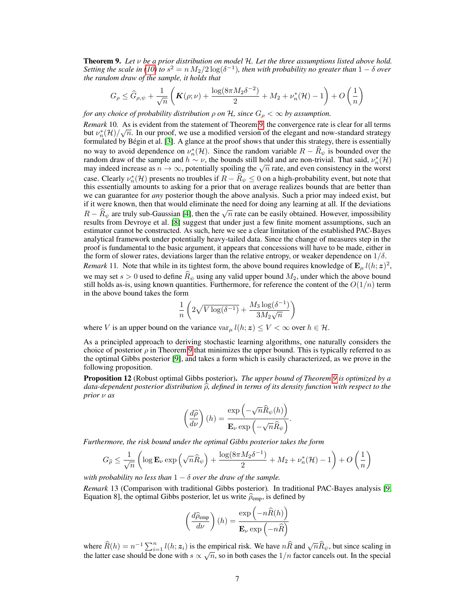Theorem 9. *Let* ν *be a prior distribution on model* H*. Let the three assumptions listed above hold. Setting the scale in* (10) to  $s^2 = n M_2/2 \log(\delta^{-1})$ , then with probability no greater than  $1 - \delta$  over *the random draw of the sample, it holds that*

$$
G_{\rho} \leq \widehat{G}_{\rho,\psi} + \frac{1}{\sqrt{n}} \left( \mathbf{K}(\rho;\nu) + \frac{\log(8\pi M_2 \delta^{-2})}{2} + M_2 + \nu_n^*(\mathcal{H}) - 1 \right) + O\left(\frac{1}{n}\right)
$$

*for any choice of probability distribution*  $\rho$  *on*  $H$ *, since*  $G_{\rho} < \infty$  *by assumption.* 

*Remark* 10. As is evident from the statement of Theorem 9, the convergence rate is clear for all terms but  $\nu_n^*(\mathcal{H})/\sqrt{n}$ . In our proof, we use a modified version of the elegant and now-standard strategy formulated by Bégin et al. [3]. A glance at the proof shows that under this strategy, there is essentially no way to avoid dependence on  $\nu_n^*(\mathcal{H})$ . Since the random variable  $R - \widehat{R}_{\psi}$  is bounded over the random dependent of the couple and help is bounded over the relative of the couple and help help that is a set of  $\$ random draw of the sample and  $h \sim \nu$ , the bounds still hold and are non-trivial. That said,  $\nu_n^*(\mathcal{H})$ random draw of the sample and  $n \sim \nu$ , the bounds still note and are non-trivial. That said,  $\nu_n(\mathcal{H})$  may indeed increase as  $n \to \infty$ , potentially spoiling the  $\sqrt{n}$  rate, and even consistency in the worst case. Clearly  $\nu_n^*(\mathcal{H})$  presents no troubles if  $R - \widehat{R}_\psi \leq 0$  on a high-probability event, but note that this essentially amounts to asking for a prior that on average realizes bounds that are better than we can guarantee for *any* posterior though the above analysis. Such a prior may indeed exist, but if it were known, then that would eliminate the need for doing any learning at all. If the deviations R –  $\hat{R}_{\psi}$  are truly sub-Gaussian [4], then the  $\sqrt{n}$  rate can be easily obtained. However, impossibility needs from Dynamics and 1.581 supposed that up due inst a from finite means the commution and heaven results from Devroye et al. [8] suggest that under just a few finite moment assumptions, such an estimator cannot be constructed. As such, here we see a clear limitation of the established PAC-Bayes analytical framework under potentially heavy-tailed data. Since the change of measures step in the proof is fundamental to the basic argument, it appears that concessions will have to be made, either in the form of slower rates, deviations larger than the relative entropy, or weaker dependence on  $1/\delta$ . *Remark* 11. Note that while in its tightest form, the above bound requires knowledge of  $\mathbf{E}_{\mu} l(h; z)^2$ , we may set  $s > 0$  used to define  $\hat{R}_{\psi}$  using any valid upper bound  $M_2$ , under which the above bound still holds as-is, using known quantities. Furthermore, for reference the content of the  $O(1/n)$  term in the above bound takes the form

$$
\frac{1}{n}\left(2\sqrt{V\log(\delta^{-1})}+\frac{M_3\log(\delta^{-1})}{3M_2\sqrt{n}}\right)
$$

where V is an upper bound on the variance  $var_{\mu} l(h; z) \leq V < \infty$  over  $h \in \mathcal{H}$ .

As a principled approach to deriving stochastic learning algorithms, one naturally considers the choice of posterior  $\rho$  in Theorem 9 that minimizes the upper bound. This is typically referred to as the optimal Gibbs posterior [9], and takes a form which is easily characterized, as we prove in the following proposition.

Proposition 12 (Robust optimal Gibbs posterior). *The upper bound of Theorem 9 is optimized by a* data-dependent posterior distribution  $\hat{\rho}$ , defined in terms of its density function with respect to the *prior* ν *as*

$$
\left(\frac{d\widehat{\rho}}{d\nu}\right)(h) = \frac{\exp\left(-\sqrt{n}\widehat{R}_{\psi}(h)\right)}{\mathbf{E}_{\nu}\exp\left(-\sqrt{n}\widehat{R}_{\psi}\right)}.
$$

*Furthermore, the risk bound under the optimal Gibbs posterior takes the form*

$$
G_{\widehat{\rho}} \le \frac{1}{\sqrt{n}} \left( \log \mathbf{E}_{\nu} \exp \left( \sqrt{n} \widehat{R}_{\psi} \right) + \frac{\log(8\pi M_2 \delta^{-1})}{2} + M_2 + \nu_n^*(\mathcal{H}) - 1 \right) + O\left(\frac{1}{n}\right)
$$

*with probability no less than*  $1 - \delta$  *over the draw of the sample.* 

*Remark* 13 (Comparison with traditional Gibbs posterior)*.* In traditional PAC-Bayes analysis [9, Equation 8], the optimal Gibbs posterior, let us write  $\hat{\rho}_{\text{emp}}$ , is defined by

$$
\left(\frac{d\widehat{\rho}_{\text{emp}}}{d\nu}\right)(h) = \frac{\exp\left(-n\widehat{R}(h)\right)}{\mathbf{E}_{\nu}\exp\left(-n\widehat{R}\right)}
$$

where  $\widehat{R}(h) = n^{-1} \sum_{i=1}^{n} l(h; z_i)$  is the empirical risk. We have  $n\widehat{R}$  and  $\sqrt{n} \widehat{R}_{\psi}$ , but since scaling in the latter case should be done with  $s \propto \sqrt{n}$ , so in both cases the  $1/n$  factor cancels out. In the special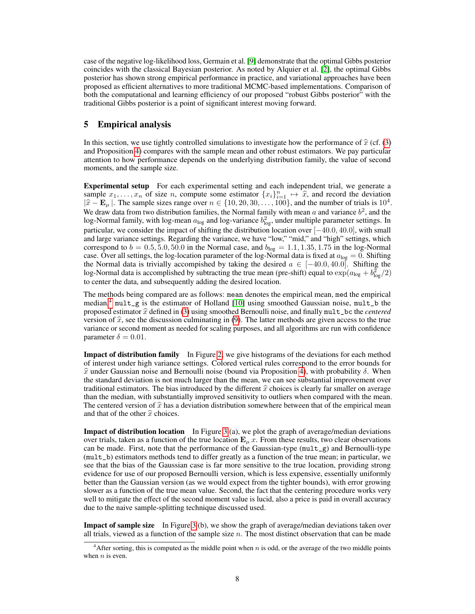case of the negative log-likelihood loss, Germain et al. [9] demonstrate that the optimal Gibbs posterior coincides with the classical Bayesian posterior. As noted by Alquier et al. [2], the optimal Gibbs posterior has shown strong empirical performance in practice, and variational approaches have been proposed as efficient alternatives to more traditional MCMC-based implementations. Comparison of both the computational and learning efficiency of our proposed "robust Gibbs posterior" with the traditional Gibbs posterior is a point of significant interest moving forward.

## 5 Empirical analysis

In this section, we use tightly controlled simulations to investigate how the performance of  $\hat{x}$  (cf. (3) and Proposition 4) compares with the sample mean and other robust estimators. We pay particular attention to how performance depends on the underlying distribution family, the value of second moments, and the sample size.

Experimental setup For each experimental setting and each independent trial, we generate a sample  $x_1, \ldots, x_n$  of size n, compute some estimator  $\{x_i\}_{i=1}^n \mapsto \hat{x}$ , and record the deviation  $|\hat{x} - \mathbf{E}|$ . The sample sizes range over  $n \in \{10, 20, 30, 100\}$  and the number of trials is  $10^4$ .  $|\hat{x} - \mathbf{E}_{\mu}|$ . The sample sizes range over  $n \in \{10, 20, 30, \dots, 100\}$ , and the number of trials is  $10^4$ .<br>We draw data from two distribution families, the Normal family with mean a and variance  $h^2$  and the We draw data from two distribution families, the Normal family with mean  $a$  and variance  $b^2$ , and the log-Normal family, with log-mean  $a_{\log}$  and log-variance  $b_{\log}^2$ , under multiple parameter settings. In particular, we consider the impact of shifting the distribution location over [−40.0, 40.0], with small and large variance settings. Regarding the variance, we have "low," "mid," and "high" settings, which correspond to  $b = 0.5, 5.0, 50.0$  in the Normal case, and  $b_{\text{log}} = 1.1, 1.35, 1.75$  in the log-Normal case. Over all settings, the log-location parameter of the log-Normal data is fixed at  $a_{\text{log}} = 0$ . Shifting the Normal data is trivially accompished by taking the desired  $a \in [-40.0, 40.0]$ . Shifting the log-Normal data is accomplished by subtracting the true mean (pre-shift) equal to  $\exp(a_{\log} + b_{\log}^2/2)$ to center the data, and subsequently adding the desired location.

The methods being compared are as follows: mean denotes the empirical mean, med the empirical median,<sup>4</sup> mult\_g is the estimator of Holland [10] using smoothed Gaussian noise, mult\_b the proposed estimator  $\hat{x}$  defined in (3) using smoothed Bernoulli noise, and finally mult\_bc the *centered* version of  $\hat{x}$ , see the discussion culminating in (9). The latter methods are given access to the true variance or second moment as needed for scaling purposes, and all algorithms are run with confidence parameter  $\delta = 0.01$ .

Impact of distribution family In Figure 2, we give histograms of the deviations for each method of interest under high variance settings. Colored vertical rules correspond to the error bounds for  $\hat{x}$  under Gaussian noise and Bernoulli noise (bound via Proposition 4), with probability  $\delta$ . When the standard deviation is not much larger than the mean, we can see substantial improvement over traditional estimators. The bias introduced by the different  $\hat{x}$  choices is clearly far smaller on average than the median, with substantially improved sensitivity to outliers when compared with the mean. The centered version of  $\hat{x}$  has a deviation distribution somewhere between that of the empirical mean and that of the other  $\hat{x}$  choices.

Impact of distribution location In Figure 3 (a), we plot the graph of average/median deviations over trials, taken as a function of the true location  $E_{\mu} x$ . From these results, two clear observations can be made. First, note that the performance of the Gaussian-type ( $mult_{g}$ ) and Bernoulli-type (mult\_b) estimators methods tend to differ greatly as a function of the true mean; in particular, we see that the bias of the Gaussian case is far more sensitive to the true location, providing strong evidence for use of our proposed Bernoulli version, which is less expensive, essentially uniformly better than the Gaussian version (as we would expect from the tighter bounds), with error growing slower as a function of the true mean value. Second, the fact that the centering procedure works very well to mitigate the effect of the second moment value is lucid, also a price is paid in overall accuracy due to the naive sample-splitting technique discussed used.

**Impact of sample size** In Figure 3 (b), we show the graph of average/median deviations taken over all trials, viewed as a function of the sample size  $n$ . The most distinct observation that can be made

 $4$ After sorting, this is computed as the middle point when n is odd, or the average of the two middle points when  $n$  is even.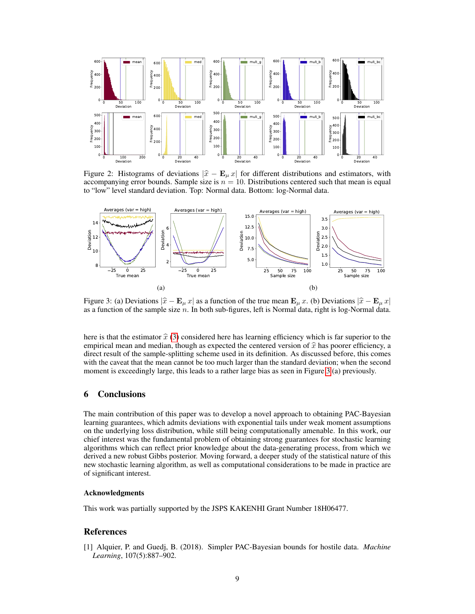

Figure 2: Histograms of deviations  $|\hat{x} - \mathbf{E}_{\mu} x|$  for different distributions and estimators, with accompanying error bounds. Sample size is  $n = 10$ . Distributions centered such that mean is equal to "low" level standard deviation. Top: Normal data. Bottom: log-Normal data.



Figure 3: (a) Deviations  $|\hat{x} - \mathbf{E}_{\mu} x|$  as a function of the true mean  $\mathbf{E}_{\mu} x$ . (b) Deviations  $|\hat{x} - \mathbf{E}_{\mu} x|$ as a function of the sample size  $n$ . In both sub-figures, left is Normal data, right is log-Normal data.

here is that the estimator  $\hat{x}$  (3) considered here has learning efficiency which is far superior to the empirical mean and median, though as expected the centered version of  $\hat{x}$  has poorer efficiency, a direct result of the sample-splitting scheme used in its definition. As discussed before, this comes with the caveat that the mean cannot be too much larger than the standard deviation; when the second moment is exceedingly large, this leads to a rather large bias as seen in Figure 3 (a) previously.

## 6 Conclusions

The main contribution of this paper was to develop a novel approach to obtaining PAC-Bayesian learning guarantees, which admits deviations with exponential tails under weak moment assumptions on the underlying loss distribution, while still being computationally amenable. In this work, our chief interest was the fundamental problem of obtaining strong guarantees for stochastic learning algorithms which can reflect prior knowledge about the data-generating process, from which we derived a new robust Gibbs posterior. Moving forward, a deeper study of the statistical nature of this new stochastic learning algorithm, as well as computational considerations to be made in practice are of significant interest.

#### Acknowledgments

This work was partially supported by the JSPS KAKENHI Grant Number 18H06477.

#### References

[1] Alquier, P. and Guedj, B. (2018). Simpler PAC-Bayesian bounds for hostile data. *Machine Learning*, 107(5):887–902.